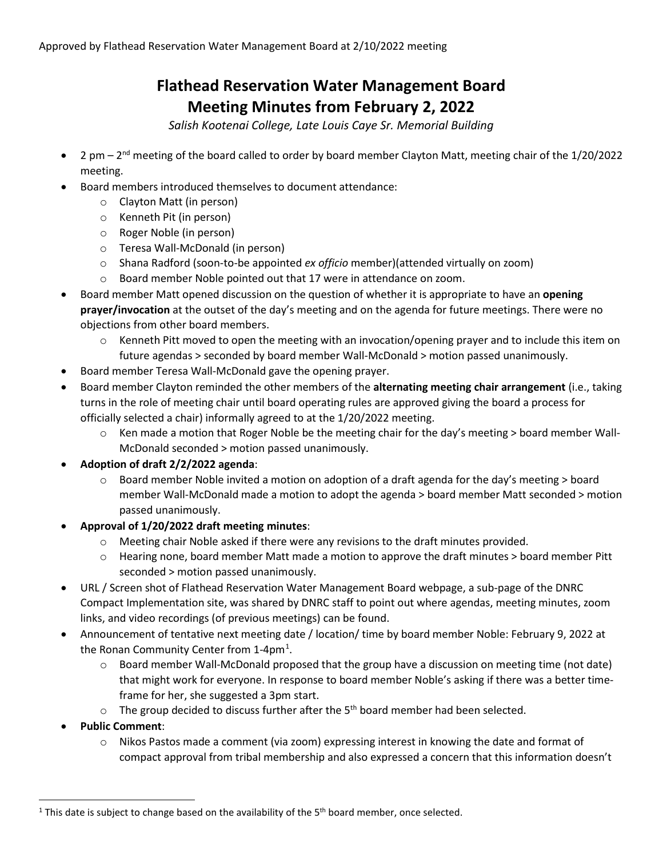## **Flathead Reservation Water Management Board Meeting Minutes from February 2, 2022**

*Salish Kootenai College, Late Louis Caye Sr. Memorial Building*

- 2 pm 2nd meeting of the board called to order by board member Clayton Matt, meeting chair of the 1/20/2022 meeting.
- Board members introduced themselves to document attendance:
	- o Clayton Matt (in person)
	- o Kenneth Pit (in person)
	- o Roger Noble (in person)
	- o Teresa Wall-McDonald (in person)
	- o Shana Radford (soon-to-be appointed *ex officio* member)(attended virtually on zoom)
	- o Board member Noble pointed out that 17 were in attendance on zoom.
- Board member Matt opened discussion on the question of whether it is appropriate to have an **opening prayer/invocation** at the outset of the day's meeting and on the agenda for future meetings. There were no objections from other board members.
	- Kenneth Pitt moved to open the meeting with an invocation/opening prayer and to include this item on future agendas > seconded by board member Wall-McDonald > motion passed unanimously.
- Board member Teresa Wall-McDonald gave the opening prayer.
- Board member Clayton reminded the other members of the **alternating meeting chair arrangement** (i.e., taking turns in the role of meeting chair until board operating rules are approved giving the board a process for officially selected a chair) informally agreed to at the 1/20/2022 meeting.
	- $\circ$  Ken made a motion that Roger Noble be the meeting chair for the day's meeting > board member Wall-McDonald seconded > motion passed unanimously.
- **Adoption of draft 2/2/2022 agenda**:
	- $\circ$  Board member Noble invited a motion on adoption of a draft agenda for the day's meeting  $>$  board member Wall-McDonald made a motion to adopt the agenda > board member Matt seconded > motion passed unanimously.
- **Approval of 1/20/2022 draft meeting minutes**:
	- o Meeting chair Noble asked if there were any revisions to the draft minutes provided.
	- o Hearing none, board member Matt made a motion to approve the draft minutes > board member Pitt seconded > motion passed unanimously.
- URL / Screen shot of Flathead Reservation Water Management Board webpage, a sub-page of the DNRC Compact Implementation site, was shared by DNRC staff to point out where agendas, meeting minutes, zoom links, and video recordings (of previous meetings) can be found.
- Announcement of tentative next meeting date / location/ time by board member Noble: February 9, 2022 at the Ronan Community Center from [1](#page-0-0)-4pm<sup>1</sup>.
	- $\circ$  Board member Wall-McDonald proposed that the group have a discussion on meeting time (not date) that might work for everyone. In response to board member Noble's asking if there was a better timeframe for her, she suggested a 3pm start.
	- $\circ$  The group decided to discuss further after the 5<sup>th</sup> board member had been selected.
- **Public Comment**:
	- o Nikos Pastos made a comment (via zoom) expressing interest in knowing the date and format of compact approval from tribal membership and also expressed a concern that this information doesn't

<span id="page-0-0"></span><sup>&</sup>lt;sup>1</sup> This date is subject to change based on the availability of the  $5<sup>th</sup>$  board member, once selected.